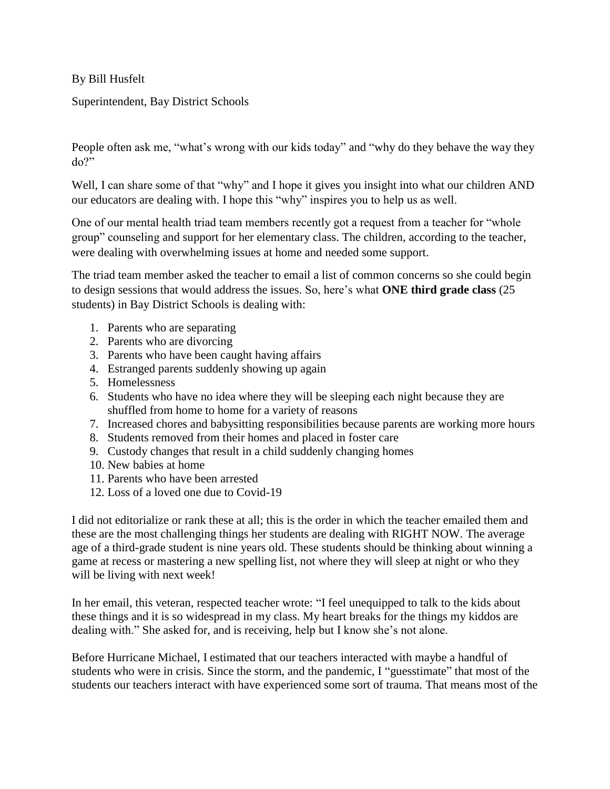By Bill Husfelt

Superintendent, Bay District Schools

People often ask me, "what's wrong with our kids today" and "why do they behave the way they  $do?$ "

Well, I can share some of that "why" and I hope it gives you insight into what our children AND our educators are dealing with. I hope this "why" inspires you to help us as well.

One of our mental health triad team members recently got a request from a teacher for "whole group" counseling and support for her elementary class. The children, according to the teacher, were dealing with overwhelming issues at home and needed some support.

The triad team member asked the teacher to email a list of common concerns so she could begin to design sessions that would address the issues. So, here's what **ONE third grade class** (25 students) in Bay District Schools is dealing with:

- 1. Parents who are separating
- 2. Parents who are divorcing
- 3. Parents who have been caught having affairs
- 4. Estranged parents suddenly showing up again
- 5. Homelessness
- 6. Students who have no idea where they will be sleeping each night because they are shuffled from home to home for a variety of reasons
- 7. Increased chores and babysitting responsibilities because parents are working more hours
- 8. Students removed from their homes and placed in foster care
- 9. Custody changes that result in a child suddenly changing homes
- 10. New babies at home
- 11. Parents who have been arrested
- 12. Loss of a loved one due to Covid-19

I did not editorialize or rank these at all; this is the order in which the teacher emailed them and these are the most challenging things her students are dealing with RIGHT NOW. The average age of a third-grade student is nine years old. These students should be thinking about winning a game at recess or mastering a new spelling list, not where they will sleep at night or who they will be living with next week!

In her email, this veteran, respected teacher wrote: "I feel unequipped to talk to the kids about these things and it is so widespread in my class. My heart breaks for the things my kiddos are dealing with." She asked for, and is receiving, help but I know she's not alone.

Before Hurricane Michael, I estimated that our teachers interacted with maybe a handful of students who were in crisis. Since the storm, and the pandemic, I "guesstimate" that most of the students our teachers interact with have experienced some sort of trauma. That means most of the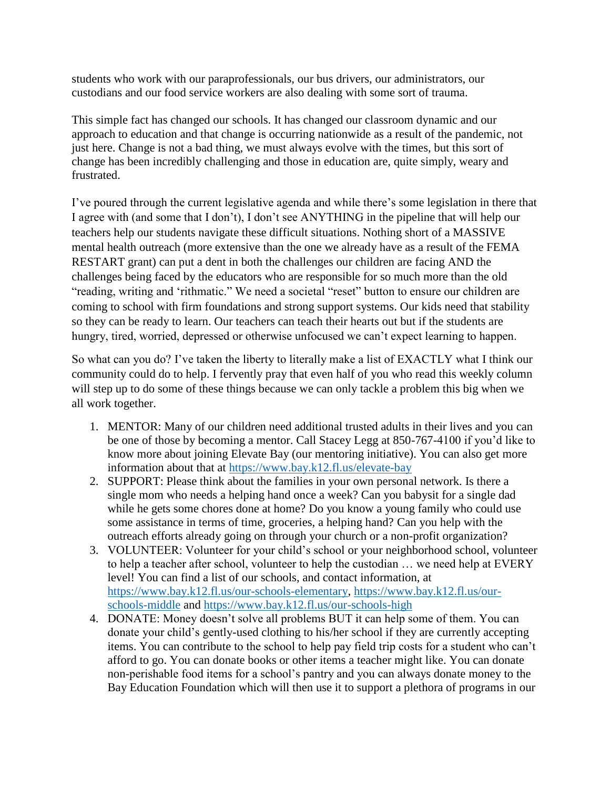students who work with our paraprofessionals, our bus drivers, our administrators, our custodians and our food service workers are also dealing with some sort of trauma.

This simple fact has changed our schools. It has changed our classroom dynamic and our approach to education and that change is occurring nationwide as a result of the pandemic, not just here. Change is not a bad thing, we must always evolve with the times, but this sort of change has been incredibly challenging and those in education are, quite simply, weary and frustrated.

I've poured through the current legislative agenda and while there's some legislation in there that I agree with (and some that I don't), I don't see ANYTHING in the pipeline that will help our teachers help our students navigate these difficult situations. Nothing short of a MASSIVE mental health outreach (more extensive than the one we already have as a result of the FEMA RESTART grant) can put a dent in both the challenges our children are facing AND the challenges being faced by the educators who are responsible for so much more than the old "reading, writing and 'rithmatic." We need a societal "reset" button to ensure our children are coming to school with firm foundations and strong support systems. Our kids need that stability so they can be ready to learn. Our teachers can teach their hearts out but if the students are hungry, tired, worried, depressed or otherwise unfocused we can't expect learning to happen.

So what can you do? I've taken the liberty to literally make a list of EXACTLY what I think our community could do to help. I fervently pray that even half of you who read this weekly column will step up to do some of these things because we can only tackle a problem this big when we all work together.

- 1. MENTOR: Many of our children need additional trusted adults in their lives and you can be one of those by becoming a mentor. Call Stacey Legg at 850-767-4100 if you'd like to know more about joining Elevate Bay (our mentoring initiative). You can also get more information about that at<https://www.bay.k12.fl.us/elevate-bay>
- 2. SUPPORT: Please think about the families in your own personal network. Is there a single mom who needs a helping hand once a week? Can you babysit for a single dad while he gets some chores done at home? Do you know a young family who could use some assistance in terms of time, groceries, a helping hand? Can you help with the outreach efforts already going on through your church or a non-profit organization?
- 3. VOLUNTEER: Volunteer for your child's school or your neighborhood school, volunteer to help a teacher after school, volunteer to help the custodian … we need help at EVERY level! You can find a list of our schools, and contact information, at [https://www.bay.k12.fl.us/our-schools-elementary,](https://www.bay.k12.fl.us/our-schools-elementary) [https://www.bay.k12.fl.us/our](https://www.bay.k12.fl.us/our-schools-middle)[schools-middle](https://www.bay.k12.fl.us/our-schools-middle) and<https://www.bay.k12.fl.us/our-schools-high>
- 4. DONATE: Money doesn't solve all problems BUT it can help some of them. You can donate your child's gently-used clothing to his/her school if they are currently accepting items. You can contribute to the school to help pay field trip costs for a student who can't afford to go. You can donate books or other items a teacher might like. You can donate non-perishable food items for a school's pantry and you can always donate money to the Bay Education Foundation which will then use it to support a plethora of programs in our